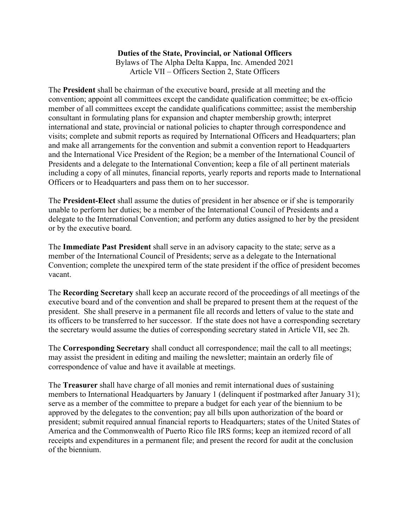## **Duties of the State, Provincial, or National Officers**

Bylaws of The Alpha Delta Kappa, Inc. Amended 2021 Article VII – Officers Section 2, State Officers

The **President** shall be chairman of the executive board, preside at all meeting and the convention; appoint all committees except the candidate qualification committee; be ex-officio member of all committees except the candidate qualifications committee; assist the membership consultant in formulating plans for expansion and chapter membership growth; interpret international and state, provincial or national policies to chapter through correspondence and visits; complete and submit reports as required by International Officers and Headquarters; plan and make all arrangements for the convention and submit a convention report to Headquarters and the International Vice President of the Region; be a member of the International Council of Presidents and a delegate to the International Convention; keep a file of all pertinent materials including a copy of all minutes, financial reports, yearly reports and reports made to International Officers or to Headquarters and pass them on to her successor.

The **President-Elect** shall assume the duties of president in her absence or if she is temporarily unable to perform her duties; be a member of the International Council of Presidents and a delegate to the International Convention; and perform any duties assigned to her by the president or by the executive board.

The **Immediate Past President** shall serve in an advisory capacity to the state; serve as a member of the International Council of Presidents; serve as a delegate to the International Convention; complete the unexpired term of the state president if the office of president becomes vacant.

The **Recording Secretary** shall keep an accurate record of the proceedings of all meetings of the executive board and of the convention and shall be prepared to present them at the request of the president. She shall preserve in a permanent file all records and letters of value to the state and its officers to be transferred to her successor. If the state does not have a corresponding secretary the secretary would assume the duties of corresponding secretary stated in Article VII, sec 2h.

The **Corresponding Secretary** shall conduct all correspondence; mail the call to all meetings; may assist the president in editing and mailing the newsletter; maintain an orderly file of correspondence of value and have it available at meetings.

The **Treasurer** shall have charge of all monies and remit international dues of sustaining members to International Headquarters by January 1 (delinquent if postmarked after January 31); serve as a member of the committee to prepare a budget for each year of the biennium to be approved by the delegates to the convention; pay all bills upon authorization of the board or president; submit required annual financial reports to Headquarters; states of the United States of America and the Commonwealth of Puerto Rico file IRS forms; keep an itemized record of all receipts and expenditures in a permanent file; and present the record for audit at the conclusion of the biennium.